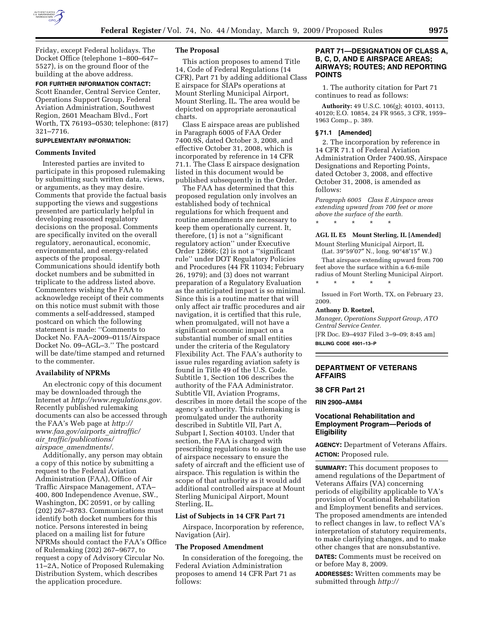

Friday, except Federal holidays. The Docket Office (telephone 1–800–647– 5527), is on the ground floor of the building at the above address.

#### **FOR FURTHER INFORMATION CONTACT:**

Scott Enander, Central Service Center, Operations Support Group, Federal Aviation Administration, Southwest Region, 2601 Meacham Blvd., Fort Worth, TX 76193–0530; telephone: (817) 321–7716.

# **SUPPLEMENTARY INFORMATION:**

### **Comments Invited**

Interested parties are invited to participate in this proposed rulemaking by submitting such written data, views, or arguments, as they may desire. Comments that provide the factual basis supporting the views and suggestions presented are particularly helpful in developing reasoned regulatory decisions on the proposal. Comments are specifically invited on the overall regulatory, aeronautical, economic, environmental, and energy-related aspects of the proposal. Communications should identify both docket numbers and be submitted in triplicate to the address listed above. Commenters wishing the FAA to acknowledge receipt of their comments on this notice must submit with those comments a self-addressed, stamped postcard on which the following statement is made: ''Comments to Docket No. FAA–2009–0115/Airspace Docket No. 09–AGL–3.'' The postcard will be date/time stamped and returned to the commenter.

#### **Availability of NPRMs**

An electronic copy of this document may be downloaded through the Internet at *http://www.regulations.gov.*  Recently published rulemaking documents can also be accessed through the FAA's Web page at *http:// www.faa.gov/airports*\_*airtraffic/ air*\_*traffic/publications/ airspace*\_*amendments/.* 

Additionally, any person may obtain a copy of this notice by submitting a request to the Federal Aviation Administration (FAA), Office of Air Traffic Airspace Management, ATA– 400, 800 Independence Avenue, SW., Washington, DC 20591, or by calling (202) 267–8783. Communications must identify both docket numbers for this notice. Persons interested in being placed on a mailing list for future NPRMs should contact the FAA's Office of Rulemaking (202) 267–9677, to request a copy of Advisory Circular No. 11–2A, Notice of Proposed Rulemaking Distribution System, which describes the application procedure.

### **The Proposal**

This action proposes to amend Title 14, Code of Federal Regulations (14 CFR), Part 71 by adding additional Class E airspace for SIAPs operations at Mount Sterling Municipal Airport, Mount Sterling, IL. The area would be depicted on appropriate aeronautical charts.

Class E airspace areas are published in Paragraph 6005 of FAA Order 7400.9S, dated October 3, 2008, and effective October 31, 2008, which is incorporated by reference in 14 CFR 71.1. The Class E airspace designation listed in this document would be published subsequently in the Order.

The FAA has determined that this proposed regulation only involves an established body of technical regulations for which frequent and routine amendments are necessary to keep them operationally current. It, therefore, (1) is not a ''significant regulatory action'' under Executive Order 12866; (2) is not a ''significant rule'' under DOT Regulatory Policies and Procedures (44 FR 11034; February 26, 1979); and (3) does not warrant preparation of a Regulatory Evaluation as the anticipated impact is so minimal. Since this is a routine matter that will only affect air traffic procedures and air navigation, it is certified that this rule, when promulgated, will not have a significant economic impact on a substantial number of small entities under the criteria of the Regulatory Flexibility Act. The FAA's authority to issue rules regarding aviation safety is found in Title 49 of the U.S. Code. Subtitle 1, Section 106 describes the authority of the FAA Administrator. Subtitle VII, Aviation Programs, describes in more detail the scope of the agency's authority. This rulemaking is promulgated under the authority described in Subtitle VII, Part A, Subpart I, Section 40103. Under that section, the FAA is charged with prescribing regulations to assign the use of airspace necessary to ensure the safety of aircraft and the efficient use of airspace. This regulation is within the scope of that authority as it would add additional controlled airspace at Mount Sterling Municipal Airport, Mount Sterling, IL.

### **List of Subjects in 14 CFR Part 71**

Airspace, Incorporation by reference, Navigation (Air).

#### **The Proposed Amendment**

In consideration of the foregoing, the Federal Aviation Administration proposes to amend 14 CFR Part 71 as follows:

# **PART 71—DESIGNATION OF CLASS A, B, C, D, AND E AIRSPACE AREAS; AIRWAYS; ROUTES; AND REPORTING POINTS**

1. The authority citation for Part 71 continues to read as follows:

**Authority:** 49 U.S.C. 106(g); 40103, 40113, 40120; E.O. 10854, 24 FR 9565, 3 CFR, 1959– 1963 Comp., p. 389.

#### **§ 71.1 [Amended]**

2. The incorporation by reference in 14 CFR 71.1 of Federal Aviation Administration Order 7400.9S, Airspace Designations and Reporting Points, dated October 3, 2008, and effective October 31, 2008, is amended as follows:

*Paragraph 6005 Class E Airspace areas extending upward from 700 feet or more above the surface of the earth.*  \* \* \* \* \*

**AGL IL E5 Mount Sterling, IL [Amended]** 

Mount Sterling Municipal Airport, IL (Lat. 39°59′07″ N., long. 90°48′15″ W.)

That airspace extending upward from 700 feet above the surface within a 6.6-mile radius of Mount Sterling Municipal Airport.

\* \* \* \* \*

Issued in Fort Worth, TX, on February 23, 2009.

#### **Anthony D. Roetzel,**

*Manager, Operations Support Group, ATO Central Service Center.* 

[FR Doc. E9–4937 Filed 3–9–09; 8:45 am] **BILLING CODE 4901–13–P** 

# **DEPARTMENT OF VETERANS AFFAIRS**

# **38 CFR Part 21**

**RIN 2900–AM84** 

# **Vocational Rehabilitation and Employment Program—Periods of Eligibility**

**AGENCY:** Department of Veterans Affairs. **ACTION:** Proposed rule.

**SUMMARY:** This document proposes to amend regulations of the Department of Veterans Affairs (VA) concerning periods of eligibility applicable to VA's provision of Vocational Rehabilitation and Employment benefits and services. The proposed amendments are intended to reflect changes in law, to reflect VA's interpretation of statutory requirements, to make clarifying changes, and to make other changes that are nonsubstantive.

**DATES:** Comments must be received on or before May 8, 2009.

**ADDRESSES:** Written comments may be submitted through *http://*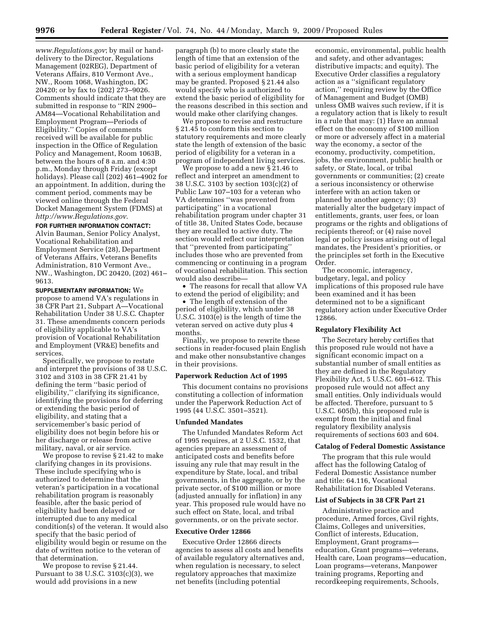*www.Regulations.gov*; by mail or handdelivery to the Director, Regulations Management (02REG), Department of Veterans Affairs, 810 Vermont Ave., NW., Room 1068, Washington, DC 20420; or by fax to (202) 273–9026. Comments should indicate that they are submitted in response to ''RIN 2900– AM84—Vocational Rehabilitation and Employment Program—Periods of Eligibility.'' Copies of comments received will be available for public inspection in the Office of Regulation Policy and Management, Room 1063B, between the hours of 8 a.m. and 4:30 p.m., Monday through Friday (except holidays). Please call (202) 461–4902 for an appointment. In addition, during the comment period, comments may be viewed online through the Federal Docket Management System (FDMS) at *http://www.Regulations.gov*.

# **FOR FURTHER INFORMATION CONTACT:**

Alvin Bauman, Senior Policy Analyst, Vocational Rehabilitation and Employment Service (28), Department of Veterans Affairs, Veterans Benefits Administration, 810 Vermont Ave., NW., Washington, DC 20420, (202) 461– 9613.

**SUPPLEMENTARY INFORMATION:** We propose to amend VA's regulations in 38 CFR Part 21, Subpart A—Vocational Rehabilitation Under 38 U.S.C. Chapter 31. These amendments concern periods of eligibility applicable to VA's provision of Vocational Rehabilitation and Employment (VR&E) benefits and services.

Specifically, we propose to restate and interpret the provisions of 38 U.S.C. 3102 and 3103 in 38 CFR 21.41 by defining the term ''basic period of eligibility,'' clarifying its significance, identifying the provisions for deferring or extending the basic period of eligibility, and stating that a servicemember's basic period of eligibility does not begin before his or her discharge or release from active military, naval, or air service.

We propose to revise § 21.42 to make clarifying changes in its provisions. These include specifying who is authorized to determine that the veteran's participation in a vocational rehabilitation program is reasonably feasible, after the basic period of eligibility had been delayed or interrupted due to any medical condition(s) of the veteran. It would also specify that the basic period of eligibility would begin or resume on the date of written notice to the veteran of that determination.

We propose to revise § 21.44. Pursuant to 38 U.S.C. 3103(c)(3), we would add provisions in a new

paragraph (b) to more clearly state the length of time that an extension of the basic period of eligibility for a veteran with a serious employment handicap may be granted. Proposed § 21.44 also would specify who is authorized to extend the basic period of eligibility for the reasons described in this section and would make other clarifying changes.

We propose to revise and restructure § 21.45 to conform this section to statutory requirements and more clearly state the length of extension of the basic period of eligibility for a veteran in a program of independent living services.

We propose to add a new § 21.46 to reflect and interpret an amendment to 38 U.S.C. 3103 by section 103(c)(2) of Public Law 107–103 for a veteran who VA determines ''was prevented from participating'' in a vocational rehabilitation program under chapter 31 of title 38, United States Code, because they are recalled to active duty. The section would reflect our interpretation that ''prevented from participating'' includes those who are prevented from commencing or continuing in a program of vocational rehabilitation. This section would also describe—

• The reasons for recall that allow VA to extend the period of eligibility; and

• The length of extension of the period of eligibility, which under 38 U.S.C. 3103(e) is the length of time the veteran served on active duty plus 4 months.

Finally, we propose to rewrite these sections in reader-focused plain English and make other nonsubstantive changes in their provisions.

#### **Paperwork Reduction Act of 1995**

This document contains no provisions constituting a collection of information under the Paperwork Reduction Act of 1995 (44 U.S.C. 3501–3521).

### **Unfunded Mandates**

The Unfunded Mandates Reform Act of 1995 requires, at 2 U.S.C. 1532, that agencies prepare an assessment of anticipated costs and benefits before issuing any rule that may result in the expenditure by State, local, and tribal governments, in the aggregate, or by the private sector, of \$100 million or more (adjusted annually for inflation) in any year. This proposed rule would have no such effect on State, local, and tribal governments, or on the private sector.

#### **Executive Order 12866**

Executive Order 12866 directs agencies to assess all costs and benefits of available regulatory alternatives and, when regulation is necessary, to select regulatory approaches that maximize net benefits (including potential

economic, environmental, public health and safety, and other advantages; distributive impacts; and equity). The Executive Order classifies a regulatory action as a ''significant regulatory action,'' requiring review by the Office of Management and Budget (OMB) unless OMB waives such review, if it is a regulatory action that is likely to result in a rule that may: (1) Have an annual effect on the economy of \$100 million or more or adversely affect in a material way the economy, a sector of the economy, productivity, competition, jobs, the environment, public health or safety, or State, local, or tribal governments or communities; (2) create a serious inconsistency or otherwise interfere with an action taken or planned by another agency; (3) materially alter the budgetary impact of entitlements, grants, user fees, or loan programs or the rights and obligations of recipients thereof; or (4) raise novel legal or policy issues arising out of legal mandates, the President's priorities, or the principles set forth in the Executive Order.

The economic, interagency, budgetary, legal, and policy implications of this proposed rule have been examined and it has been determined not to be a significant regulatory action under Executive Order 12866.

### **Regulatory Flexibility Act**

The Secretary hereby certifies that this proposed rule would not have a significant economic impact on a substantial number of small entities as they are defined in the Regulatory Flexibility Act, 5 U.S.C. 601–612. This proposed rule would not affect any small entities. Only individuals would be affected. Therefore, pursuant to 5 U.S.C. 605(b), this proposed rule is exempt from the initial and final regulatory flexibility analysis requirements of sections 603 and 604.

#### **Catalog of Federal Domestic Assistance**

The program that this rule would affect has the following Catalog of Federal Domestic Assistance number and title: 64.116, Vocational Rehabilitation for Disabled Veterans.

#### **List of Subjects in 38 CFR Part 21**

Administrative practice and procedure, Armed forces, Civil rights, Claims, Colleges and universities, Conflict of interests, Education, Employment, Grant programs education, Grant programs—veterans, Health care, Loan programs—education, Loan programs—veterans, Manpower training programs, Reporting and recordkeeping requirements, Schools,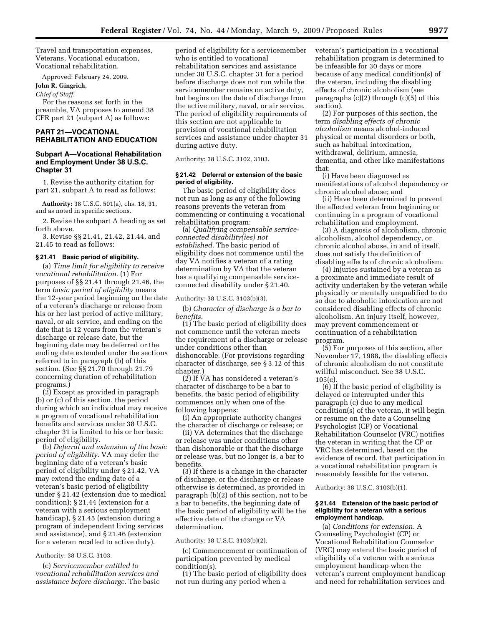Travel and transportation expenses, Veterans, Vocational education, Vocational rehabilitation.

Approved: February 24, 2009.

# **John R. Gingrich,**

*Chief of Staff.* 

For the reasons set forth in the preamble, VA proposes to amend 38 CFR part 21 (subpart A) as follows:

# **PART 21—VOCATIONAL REHABILITATION AND EDUCATION**

# **Subpart A—Vocational Rehabilitation and Employment Under 38 U.S.C. Chapter 31**

1. Revise the authority citation for part 21, subpart A to read as follows:

**Authority:** 38 U.S.C. 501(a), chs. 18, 31, and as noted in specific sections.

2. Revise the subpart A heading as set forth above.

3. Revise §§ 21.41, 21.42, 21.44, and 21.45 to read as follows:

#### **§ 21.41 Basic period of eligibility.**

(a) *Time limit for eligibility to receive vocational rehabilitation.* (1) For purposes of §§ 21.41 through 21.46, the term *basic period of eligibility* means the 12-year period beginning on the date of a veteran's discharge or release from his or her last period of active military, naval, or air service, and ending on the date that is 12 years from the veteran's discharge or release date, but the beginning date may be deferred or the ending date extended under the sections referred to in paragraph (b) of this section. (See §§ 21.70 through 21.79 concerning duration of rehabilitation programs.)

(2) Except as provided in paragraph (b) or (c) of this section, the period during which an individual may receive a program of vocational rehabilitation benefits and services under 38 U.S.C. chapter 31 is limited to his or her basic period of eligibility.

(b) *Deferral and extension of the basic period of eligibility.* VA may defer the beginning date of a veteran's basic period of eligibility under § 21.42. VA may extend the ending date of a veteran's basic period of eligibility under § 21.42 (extension due to medical condition); § 21.44 (extension for a veteran with a serious employment handicap), § 21.45 (extension during a program of independent living services and assistance), and § 21.46 (extension for a veteran recalled to active duty).

### Authority: 38 U.S.C. 3103.

(c) *Servicemember entitled to vocational rehabilitation services and assistance before discharge.* The basic

period of eligibility for a servicemember who is entitled to vocational rehabilitation services and assistance under 38 U.S.C. chapter 31 for a period before discharge does not run while the servicemember remains on active duty, but begins on the date of discharge from the active military, naval, or air service. The period of eligibility requirements of this section are not applicable to provision of vocational rehabilitation services and assistance under chapter 31 during active duty.

Authority: 38 U.S.C. 3102, 3103.

### **§ 21.42 Deferral or extension of the basic period of eligibility.**

The basic period of eligibility does not run as long as any of the following reasons prevents the veteran from commencing or continuing a vocational rehabilitation program:

(a) *Qualifying compensable serviceconnected disability(ies) not established.* The basic period of eligibility does not commence until the day VA notifies a veteran of a rating determination by VA that the veteran has a qualifying compensable serviceconnected disability under § 21.40.

Authority: 38 U.S.C. 3103(b)(3).

(b) *Character of discharge is a bar to benefits.* 

(1) The basic period of eligibility does not commence until the veteran meets the requirement of a discharge or release under conditions other than dishonorable. (For provisions regarding character of discharge, see § 3.12 of this chapter.)

(2) If VA has considered a veteran's character of discharge to be a bar to benefits, the basic period of eligibility commences only when one of the following happens:

(i) An appropriate authority changes the character of discharge or release; or

(ii) VA determines that the discharge or release was under conditions other than dishonorable or that the discharge or release was, but no longer is, a bar to benefits.

(3) If there is a change in the character of discharge, or the discharge or release otherwise is determined, as provided in paragraph (b)(2) of this section, not to be a bar to benefits, the beginning date of the basic period of eligibility will be the effective date of the change or VA determination.

### Authority: 38 U.S.C. 3103(b)(2).

(c) Commencement or continuation of participation prevented by medical condition(s).

(1) The basic period of eligibility does not run during any period when a

veteran's participation in a vocational rehabilitation program is determined to be infeasible for 30 days or more because of any medical condition(s) of the veteran, including the disabling effects of chronic alcoholism (see paragraphs (c)(2) through (c)(5) of this section).

(2) For purposes of this section, the term *disabling effects of chronic alcoholism* means alcohol-induced physical or mental disorders or both, such as habitual intoxication, withdrawal, delirium, amnesia, dementia, and other like manifestations that:

(i) Have been diagnosed as manifestations of alcohol dependency or chronic alcohol abuse; and

(ii) Have been determined to prevent the affected veteran from beginning or continuing in a program of vocational rehabilitation and employment.

(3) A diagnosis of alcoholism, chronic alcoholism, alcohol dependency, or chronic alcohol abuse, in and of itself, does not satisfy the definition of disabling effects of chronic alcoholism.

(4) Injuries sustained by a veteran as a proximate and immediate result of activity undertaken by the veteran while physically or mentally unqualified to do so due to alcoholic intoxication are not considered disabling effects of chronic alcoholism. An injury itself, however, may prevent commencement or continuation of a rehabilitation program.

(5) For purposes of this section, after November 17, 1988, the disabling effects of chronic alcoholism do not constitute willful misconduct. See 38 U.S.C. 105(c).

(6) If the basic period of eligibility is delayed or interrupted under this paragraph (c) due to any medical condition(s) of the veteran, it will begin or resume on the date a Counseling Psychologist (CP) or Vocational Rehabilitation Counselor (VRC) notifies the veteran in writing that the CP or VRC has determined, based on the evidence of record, that participation in a vocational rehabilitation program is reasonably feasible for the veteran.

Authority: 38 U.S.C. 3103(b)(1).

### **§ 21.44 Extension of the basic period of eligibility for a veteran with a serious employment handicap.**

(a) *Conditions for extension.* A Counseling Psychologist (CP) or Vocational Rehabilitation Counselor (VRC) may extend the basic period of eligibility of a veteran with a serious employment handicap when the veteran's current employment handicap and need for rehabilitation services and